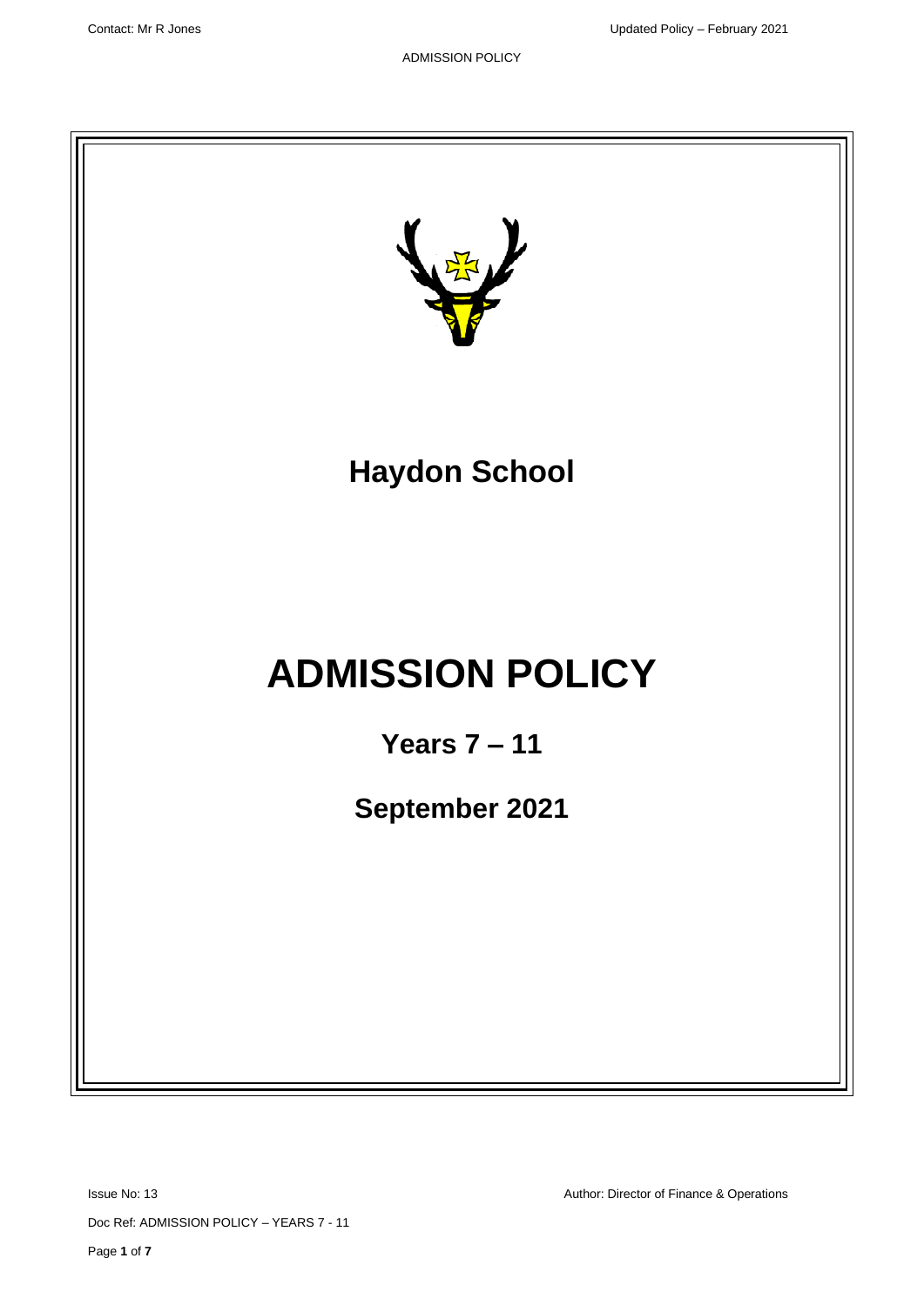

Issue No: 13 **Author: Director of Finance & Operations** Author: Director of Finance & Operations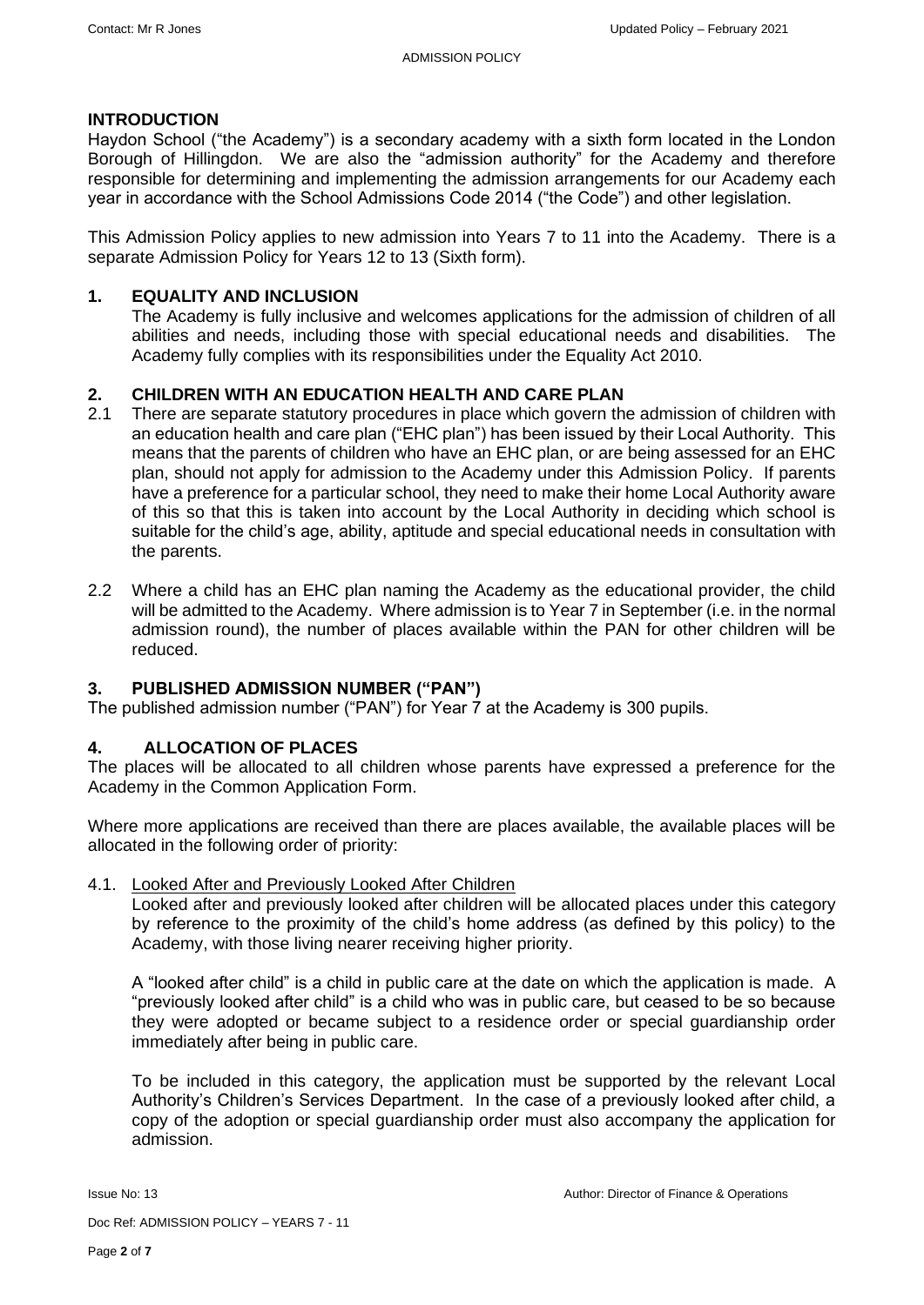#### **INTRODUCTION**

Haydon School ("the Academy") is a secondary academy with a sixth form located in the London Borough of Hillingdon. We are also the "admission authority" for the Academy and therefore responsible for determining and implementing the admission arrangements for our Academy each year in accordance with the School Admissions Code 2014 ("the Code") and other legislation.

This Admission Policy applies to new admission into Years 7 to 11 into the Academy. There is a separate Admission Policy for Years 12 to 13 (Sixth form).

## **1. EQUALITY AND INCLUSION**

The Academy is fully inclusive and welcomes applications for the admission of children of all abilities and needs, including those with special educational needs and disabilities. The Academy fully complies with its responsibilities under the Equality Act 2010.

#### **2. CHILDREN WITH AN EDUCATION HEALTH AND CARE PLAN**

- 2.1 There are separate statutory procedures in place which govern the admission of children with an education health and care plan ("EHC plan") has been issued by their Local Authority. This means that the parents of children who have an EHC plan, or are being assessed for an EHC plan, should not apply for admission to the Academy under this Admission Policy. If parents have a preference for a particular school, they need to make their home Local Authority aware of this so that this is taken into account by the Local Authority in deciding which school is suitable for the child's age, ability, aptitude and special educational needs in consultation with the parents.
- 2.2 Where a child has an EHC plan naming the Academy as the educational provider, the child will be admitted to the Academy. Where admission is to Year 7 in September (i.e. in the normal admission round), the number of places available within the PAN for other children will be reduced.

#### **3. PUBLISHED ADMISSION NUMBER ("PAN")**

The published admission number ("PAN") for Year 7 at the Academy is 300 pupils.

#### **4. ALLOCATION OF PLACES**

The places will be allocated to all children whose parents have expressed a preference for the Academy in the Common Application Form.

Where more applications are received than there are places available, the available places will be allocated in the following order of priority:

#### 4.1. Looked After and Previously Looked After Children

Looked after and previously looked after children will be allocated places under this category by reference to the proximity of the child's home address (as defined by this policy) to the Academy, with those living nearer receiving higher priority.

A "looked after child" is a child in public care at the date on which the application is made. A "previously looked after child" is a child who was in public care, but ceased to be so because they were adopted or became subject to a residence order or special guardianship order immediately after being in public care.

To be included in this category, the application must be supported by the relevant Local Authority's Children's Services Department. In the case of a previously looked after child, a copy of the adoption or special guardianship order must also accompany the application for admission.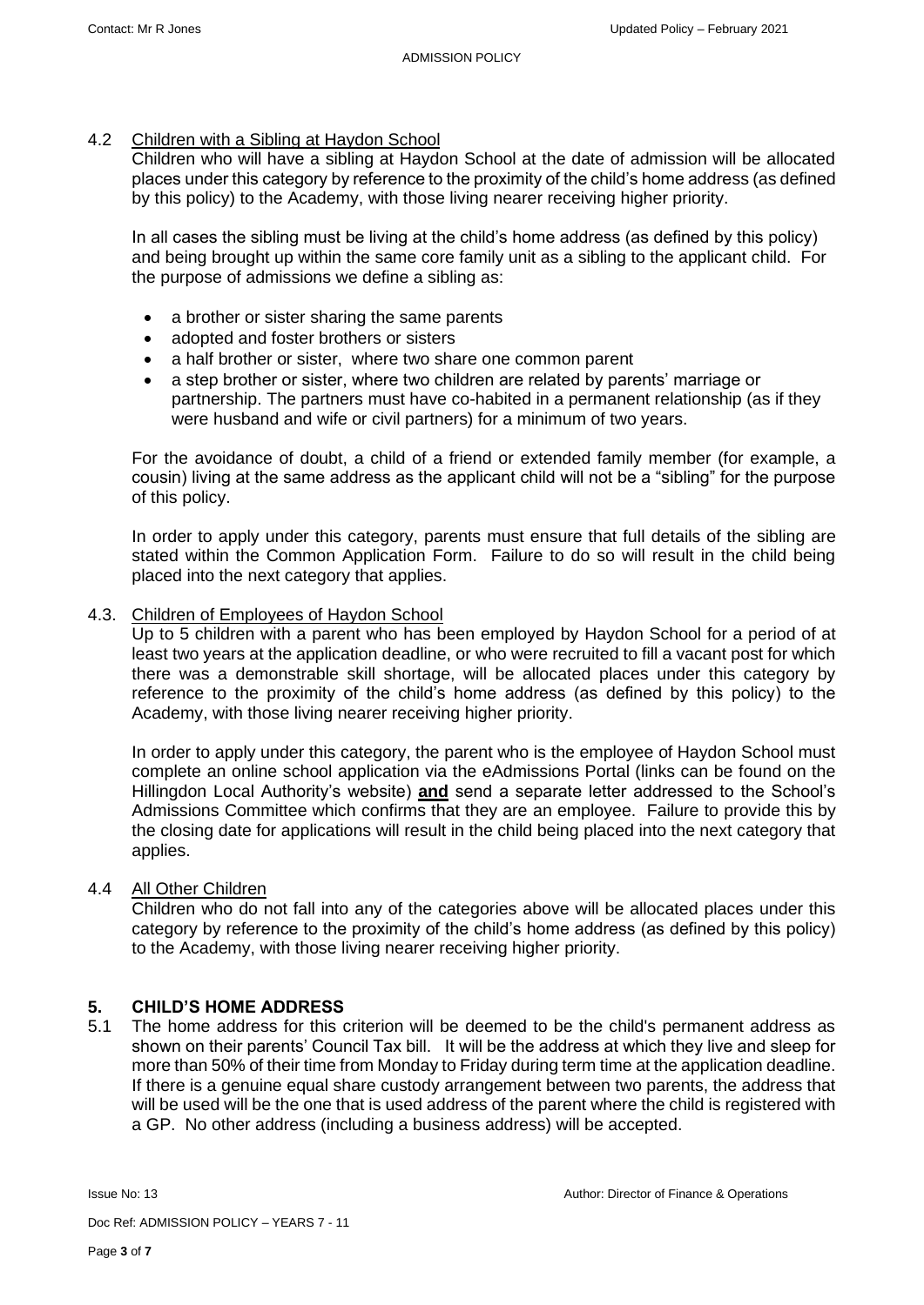#### 4.2 Children with a Sibling at Haydon School

Children who will have a sibling at Haydon School at the date of admission will be allocated places under this category by reference to the proximity of the child's home address (as defined by this policy) to the Academy, with those living nearer receiving higher priority.

In all cases the sibling must be living at the child's home address (as defined by this policy) and being brought up within the same core family unit as a sibling to the applicant child. For the purpose of admissions we define a sibling as:

- a brother or sister sharing the same parents
- adopted and foster brothers or sisters
- a half brother or sister, where two share one common parent
- a step brother or sister, where two children are related by parents' marriage or partnership. The partners must have co-habited in a permanent relationship (as if they were husband and wife or civil partners) for a minimum of two years.

For the avoidance of doubt, a child of a friend or extended family member (for example, a cousin) living at the same address as the applicant child will not be a "sibling" for the purpose of this policy.

In order to apply under this category, parents must ensure that full details of the sibling are stated within the Common Application Form. Failure to do so will result in the child being placed into the next category that applies.

#### 4.3. Children of Employees of Haydon School

Up to 5 children with a parent who has been employed by Haydon School for a period of at least two years at the application deadline, or who were recruited to fill a vacant post for which there was a demonstrable skill shortage, will be allocated places under this category by reference to the proximity of the child's home address (as defined by this policy) to the Academy, with those living nearer receiving higher priority.

In order to apply under this category, the parent who is the employee of Haydon School must complete an online school application via the eAdmissions Portal (links can be found on the Hillingdon Local Authority's website) **and** send a separate letter addressed to the School's Admissions Committee which confirms that they are an employee. Failure to provide this by the closing date for applications will result in the child being placed into the next category that applies.

#### 4.4 All Other Children

Children who do not fall into any of the categories above will be allocated places under this category by reference to the proximity of the child's home address (as defined by this policy) to the Academy, with those living nearer receiving higher priority.

# **5. CHILD'S HOME ADDRESS**

5.1 The home address for this criterion will be deemed to be the child's permanent address as shown on their parents' Council Tax bill. It will be the address at which they live and sleep for more than 50% of their time from Monday to Friday during term time at the application deadline. If there is a genuine equal share custody arrangement between two parents, the address that will be used will be the one that is used address of the parent where the child is registered with a GP. No other address (including a business address) will be accepted.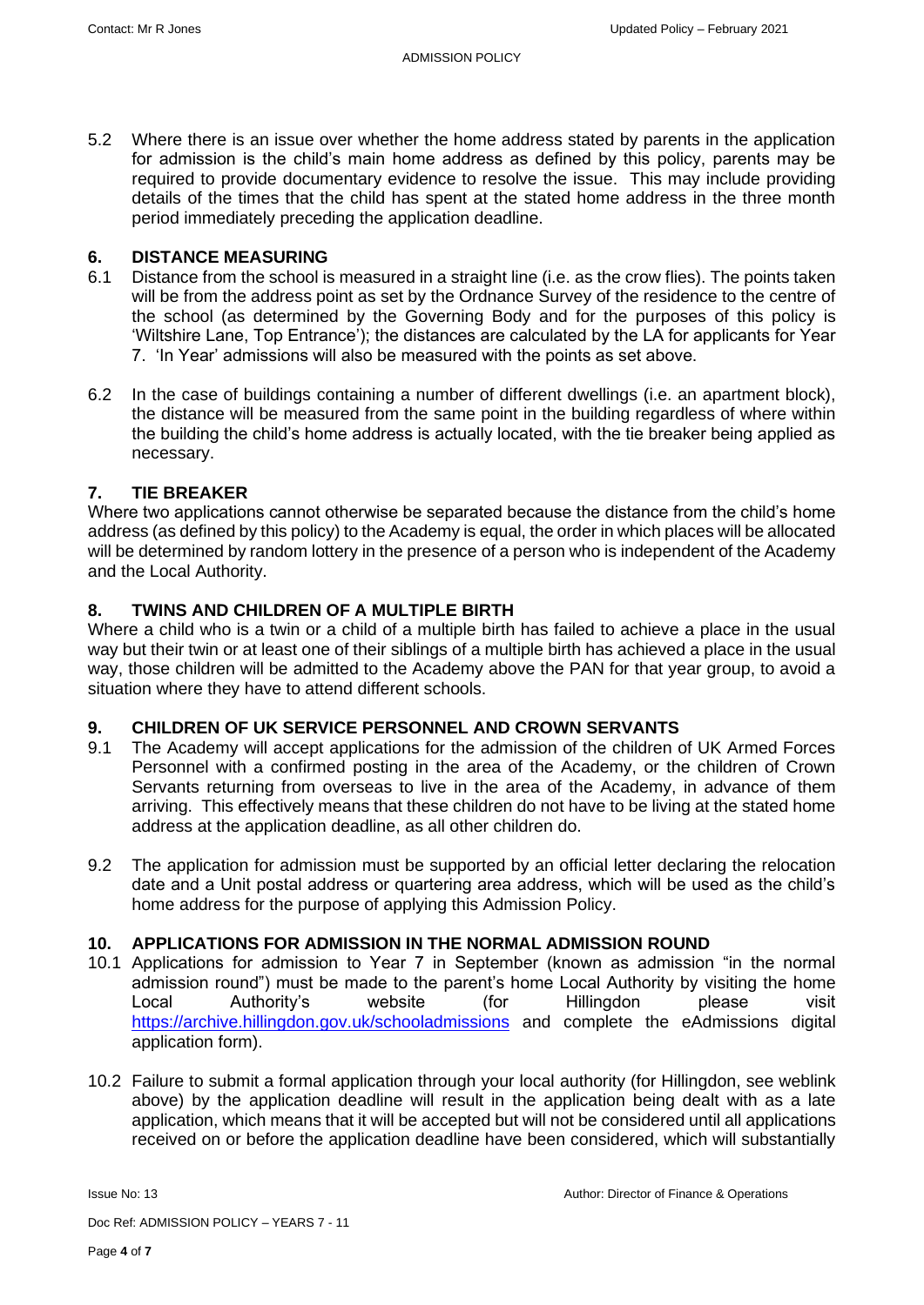5.2 Where there is an issue over whether the home address stated by parents in the application for admission is the child's main home address as defined by this policy, parents may be required to provide documentary evidence to resolve the issue. This may include providing details of the times that the child has spent at the stated home address in the three month period immediately preceding the application deadline.

## **6. DISTANCE MEASURING**

- 6.1 Distance from the school is measured in a straight line (i.e. as the crow flies). The points taken will be from the address point as set by the Ordnance Survey of the residence to the centre of the school (as determined by the Governing Body and for the purposes of this policy is 'Wiltshire Lane, Top Entrance'); the distances are calculated by the LA for applicants for Year 7. 'In Year' admissions will also be measured with the points as set above.
- 6.2 In the case of buildings containing a number of different dwellings (i.e. an apartment block), the distance will be measured from the same point in the building regardless of where within the building the child's home address is actually located, with the tie breaker being applied as necessary.

# **7. TIE BREAKER**

Where two applications cannot otherwise be separated because the distance from the child's home address (as defined by this policy) to the Academy is equal, the order in which places will be allocated will be determined by random lottery in the presence of a person who is independent of the Academy and the Local Authority.

## **8. TWINS AND CHILDREN OF A MULTIPLE BIRTH**

Where a child who is a twin or a child of a multiple birth has failed to achieve a place in the usual way but their twin or at least one of their siblings of a multiple birth has achieved a place in the usual way, those children will be admitted to the Academy above the PAN for that year group, to avoid a situation where they have to attend different schools.

#### **9. CHILDREN OF UK SERVICE PERSONNEL AND CROWN SERVANTS**

- 9.1 The Academy will accept applications for the admission of the children of UK Armed Forces Personnel with a confirmed posting in the area of the Academy, or the children of Crown Servants returning from overseas to live in the area of the Academy, in advance of them arriving. This effectively means that these children do not have to be living at the stated home address at the application deadline, as all other children do.
- 9.2 The application for admission must be supported by an official letter declaring the relocation date and a Unit postal address or quartering area address, which will be used as the child's home address for the purpose of applying this Admission Policy.

#### **10. APPLICATIONS FOR ADMISSION IN THE NORMAL ADMISSION ROUND**

- 10.1 Applications for admission to Year 7 in September (known as admission "in the normal admission round") must be made to the parent's home Local Authority by visiting the home Local Authority's website (for Hillingdon please visit <https://archive.hillingdon.gov.uk/schooladmissions> and complete the eAdmissions digital application form).
- 10.2 Failure to submit a formal application through your local authority (for Hillingdon, see weblink above) by the application deadline will result in the application being dealt with as a late application, which means that it will be accepted but will not be considered until all applications received on or before the application deadline have been considered, which will substantially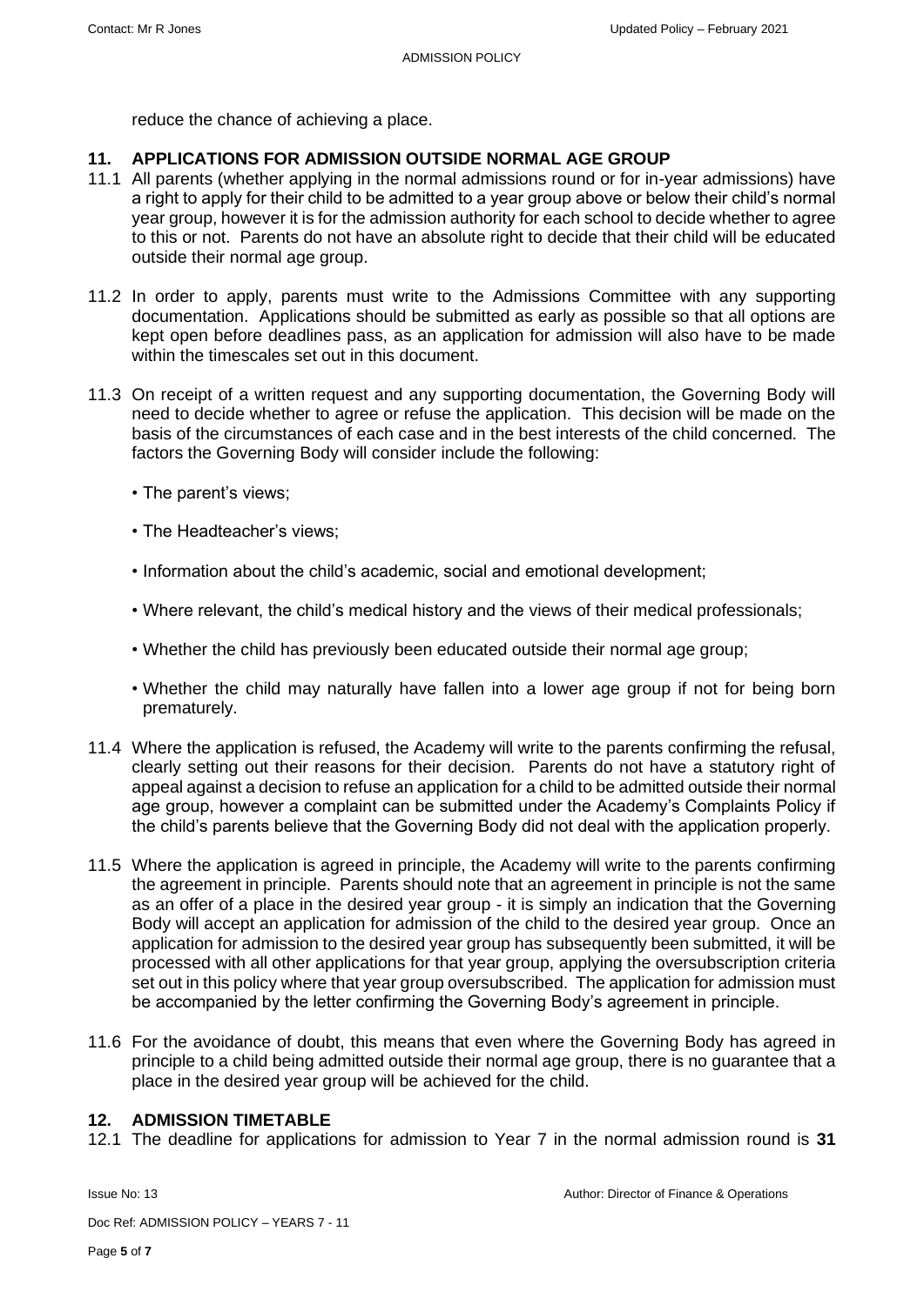reduce the chance of achieving a place.

## **11. APPLICATIONS FOR ADMISSION OUTSIDE NORMAL AGE GROUP**

- 11.1 All parents (whether applying in the normal admissions round or for in-year admissions) have a right to apply for their child to be admitted to a year group above or below their child's normal year group, however it is for the admission authority for each school to decide whether to agree to this or not. Parents do not have an absolute right to decide that their child will be educated outside their normal age group.
- 11.2 In order to apply, parents must write to the Admissions Committee with any supporting documentation. Applications should be submitted as early as possible so that all options are kept open before deadlines pass, as an application for admission will also have to be made within the timescales set out in this document.
- 11.3 On receipt of a written request and any supporting documentation, the Governing Body will need to decide whether to agree or refuse the application. This decision will be made on the basis of the circumstances of each case and in the best interests of the child concerned. The factors the Governing Body will consider include the following:
	- The parent's views;
	- The Headteacher's views;
	- Information about the child's academic, social and emotional development;
	- Where relevant, the child's medical history and the views of their medical professionals;
	- Whether the child has previously been educated outside their normal age group;
	- Whether the child may naturally have fallen into a lower age group if not for being born prematurely.
- 11.4 Where the application is refused, the Academy will write to the parents confirming the refusal, clearly setting out their reasons for their decision. Parents do not have a statutory right of appeal against a decision to refuse an application for a child to be admitted outside their normal age group, however a complaint can be submitted under the Academy's Complaints Policy if the child's parents believe that the Governing Body did not deal with the application properly.
- 11.5 Where the application is agreed in principle, the Academy will write to the parents confirming the agreement in principle. Parents should note that an agreement in principle is not the same as an offer of a place in the desired year group - it is simply an indication that the Governing Body will accept an application for admission of the child to the desired year group. Once an application for admission to the desired year group has subsequently been submitted, it will be processed with all other applications for that year group, applying the oversubscription criteria set out in this policy where that year group oversubscribed. The application for admission must be accompanied by the letter confirming the Governing Body's agreement in principle.
- 11.6 For the avoidance of doubt, this means that even where the Governing Body has agreed in principle to a child being admitted outside their normal age group, there is no guarantee that a place in the desired year group will be achieved for the child.

## **12. ADMISSION TIMETABLE**

12.1 The deadline for applications for admission to Year 7 in the normal admission round is **31** 

Doc Ref: ADMISSION POLICY – YEARS 7 - 11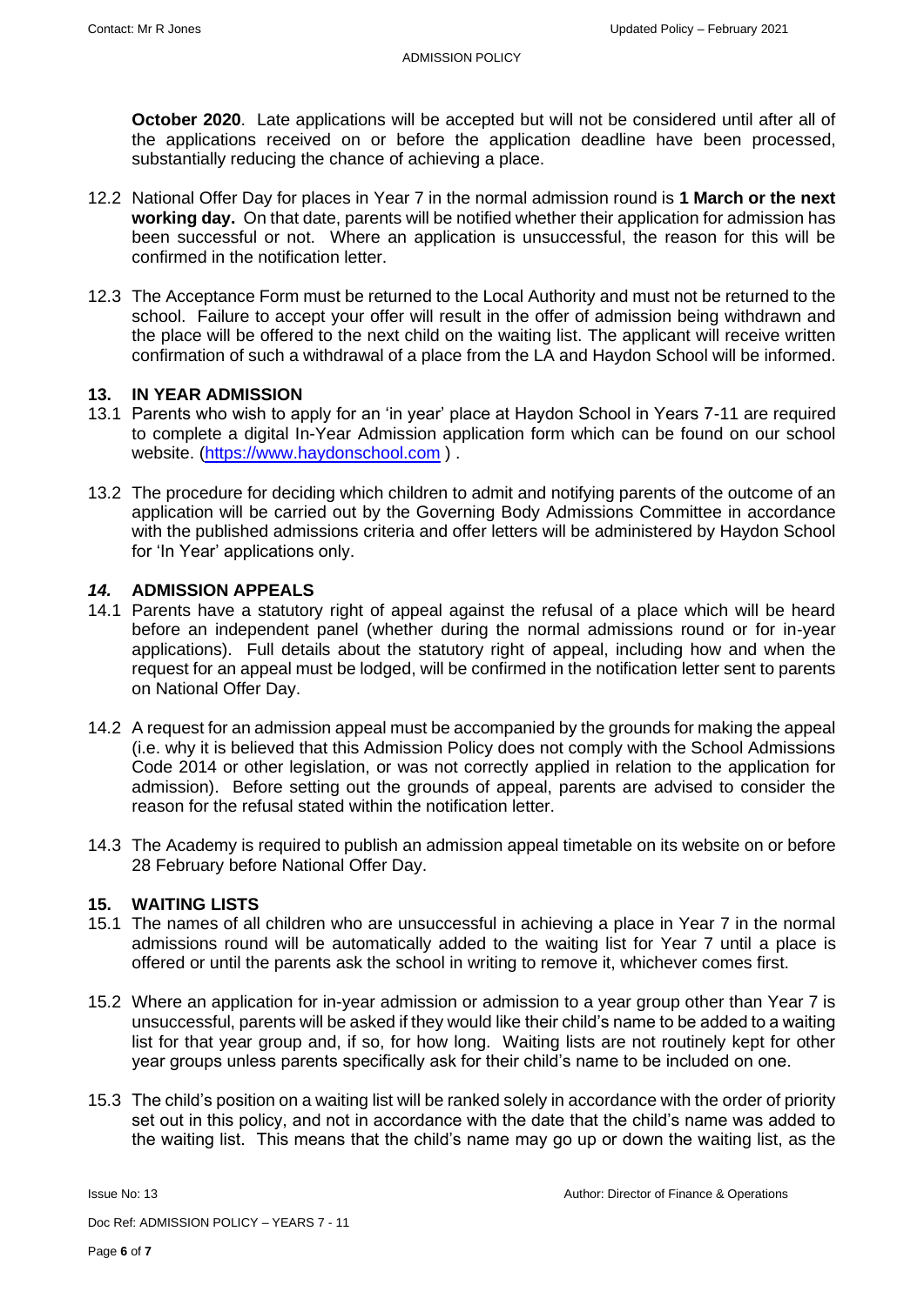**October 2020**. Late applications will be accepted but will not be considered until after all of the applications received on or before the application deadline have been processed, substantially reducing the chance of achieving a place.

- 12.2 National Offer Day for places in Year 7 in the normal admission round is **1 March or the next working day.** On that date, parents will be notified whether their application for admission has been successful or not. Where an application is unsuccessful, the reason for this will be confirmed in the notification letter.
- 12.3 The Acceptance Form must be returned to the Local Authority and must not be returned to the school. Failure to accept your offer will result in the offer of admission being withdrawn and the place will be offered to the next child on the waiting list. The applicant will receive written confirmation of such a withdrawal of a place from the LA and Haydon School will be informed.

## **13. IN YEAR ADMISSION**

- 13.1 Parents who wish to apply for an 'in year' place at Haydon School in Years 7-11 are required to complete a digital In-Year Admission application form which can be found on our school website. [\(https://www.haydonschool.com](https://www.haydonschool.com/) ) .
- 13.2 The procedure for deciding which children to admit and notifying parents of the outcome of an application will be carried out by the Governing Body Admissions Committee in accordance with the published admissions criteria and offer letters will be administered by Haydon School for 'In Year' applications only.

#### *14.* **ADMISSION APPEALS**

- 14.1 Parents have a statutory right of appeal against the refusal of a place which will be heard before an independent panel (whether during the normal admissions round or for in-year applications). Full details about the statutory right of appeal, including how and when the request for an appeal must be lodged, will be confirmed in the notification letter sent to parents on National Offer Day.
- 14.2 A request for an admission appeal must be accompanied by the grounds for making the appeal (i.e. why it is believed that this Admission Policy does not comply with the School Admissions Code 2014 or other legislation, or was not correctly applied in relation to the application for admission). Before setting out the grounds of appeal, parents are advised to consider the reason for the refusal stated within the notification letter.
- 14.3 The Academy is required to publish an admission appeal timetable on its website on or before 28 February before National Offer Day.

#### **15. WAITING LISTS**

- 15.1 The names of all children who are unsuccessful in achieving a place in Year 7 in the normal admissions round will be automatically added to the waiting list for Year 7 until a place is offered or until the parents ask the school in writing to remove it, whichever comes first.
- 15.2 Where an application for in-year admission or admission to a year group other than Year 7 is unsuccessful, parents will be asked if they would like their child's name to be added to a waiting list for that year group and, if so, for how long. Waiting lists are not routinely kept for other year groups unless parents specifically ask for their child's name to be included on one.
- 15.3 The child's position on a waiting list will be ranked solely in accordance with the order of priority set out in this policy, and not in accordance with the date that the child's name was added to the waiting list. This means that the child's name may go up or down the waiting list, as the